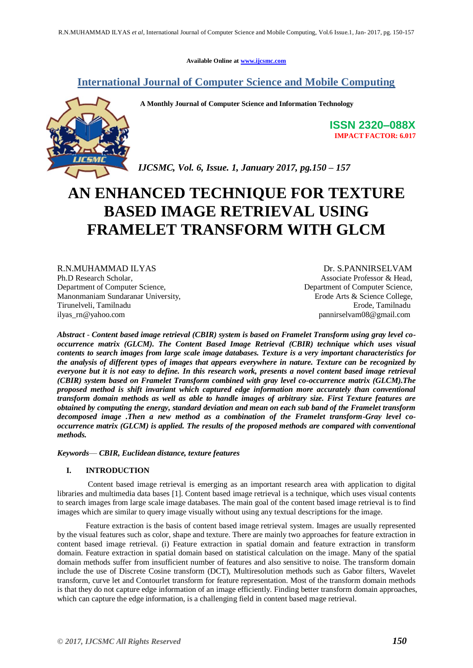**Available Online at [www.ijcsmc.com](http://www.ijcsmc.com/)**

**International Journal of Computer Science and Mobile Computing**



**A Monthly Journal of Computer Science and Information Technology**

**ISSN 2320–088X IMPACT FACTOR: 6.017**

*IJCSMC, Vol. 6, Issue. 1, January 2017, pg.150 – 157*

# **AN ENHANCED TECHNIQUE FOR TEXTURE BASED IMAGE RETRIEVAL USING FRAMELET TRANSFORM WITH GLCM**

R.N.MUHAMMAD ILYAS Dr. S.PANNIRSELVAM Ph.D Research Scholar, and the extent of the extent of the Associate Professor & Head, Department of Computer Science, Department of Computer Science, Manonmaniam Sundaranar University, etc. etc. Erode Arts & Science College, Nanonmaniam Sundaranar University, Tirunelveli, Tamilnadu Erode, Tamilnadu ilyas\_rn@yahoo.com pannirselvam08@gmail.com

*Abstract* - *Content based image retrieval (CBIR) system is based on Framelet Transform using gray level cooccurrence matrix (GLCM). The Content Based Image Retrieval (CBIR) technique which uses visual contents to search images from large scale image databases. Texture is a very important characteristics for the analysis of different types of images that appears everywhere in nature. Texture can be recognized by everyone but it is not easy to define. In this research work, presents a novel content based image retrieval (CBIR) system based on Framelet Transform combined with gray level co-occurrence matrix (GLCM).The proposed method is shift invariant which captured edge information more accurately than conventional transform domain methods as well as able to handle images of arbitrary size. First Texture features are obtained by computing the energy, standard deviation and mean on each sub band of the Framelet transform decomposed image .Then a new method as a combination of the Framelet transform-Gray level cooccurrence matrix (GLCM) is applied. The results of the proposed methods are compared with conventional methods.* 

#### *Keywords*— *CBIR, Euclidean distance, texture features*

#### **I. INTRODUCTION**

Content based image retrieval is emerging as an important research area with application to digital libraries and multimedia data bases [1]. Content based image retrieval is a technique, which uses visual contents to search images from large scale image databases. The main goal of the content based image retrieval is to find images which are similar to query image visually without using any textual descriptions for the image.

Feature extraction is the basis of content based image retrieval system. Images are usually represented by the visual features such as color, shape and texture. There are mainly two approaches for feature extraction in content based image retrieval. (i) Feature extraction in spatial domain and feature extraction in transform domain. Feature extraction in spatial domain based on statistical calculation on the image. Many of the spatial domain methods suffer from insufficient number of features and also sensitive to noise. The transform domain include the use of Discrete Cosine transform (DCT), Multiresolution methods such as Gabor filters, Wavelet transform, curve let and Contourlet transform for feature representation. Most of the transform domain methods is that they do not capture edge information of an image efficiently. Finding better transform domain approaches, which can capture the edge information, is a challenging field in content based mage retrieval.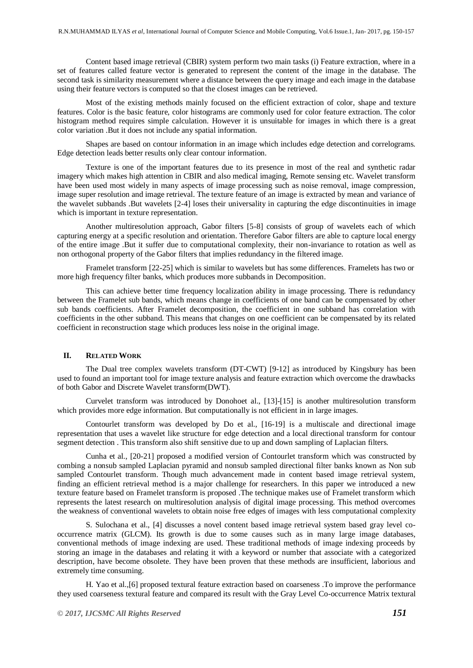Content based image retrieval (CBIR) system perform two main tasks (i) Feature extraction, where in a set of features called feature vector is generated to represent the content of the image in the database. The second task is similarity measurement where a distance between the query image and each image in the database using their feature vectors is computed so that the closest images can be retrieved.

Most of the existing methods mainly focused on the efficient extraction of color, shape and texture features. Color is the basic feature, color histograms are commonly used for color feature extraction. The color histogram method requires simple calculation. However it is unsuitable for images in which there is a great color variation .But it does not include any spatial information.

Shapes are based on contour information in an image which includes edge detection and correlograms. Edge detection leads better results only clear contour information.

Texture is one of the important features due to its presence in most of the real and synthetic radar imagery which makes high attention in CBIR and also medical imaging, Remote sensing etc. Wavelet transform have been used most widely in many aspects of image processing such as noise removal, image compression, image super resolution and image retrieval. The texture feature of an image is extracted by mean and variance of the wavelet subbands .But wavelets [2-4] loses their universality in capturing the edge discontinuities in image which is important in texture representation.

Another multiresolution approach, Gabor filters [5-8] consists of group of wavelets each of which capturing energy at a specific resolution and orientation. Therefore Gabor filters are able to capture local energy of the entire image .But it suffer due to computational complexity, their non-invariance to rotation as well as non orthogonal property of the Gabor filters that implies redundancy in the filtered image.

Framelet transform [22-25] which is similar to wavelets but has some differences. Framelets has two or more high frequency filter banks, which produces more subbands in Decomposition.

This can achieve better time frequency localization ability in image processing. There is redundancy between the Framelet sub bands, which means change in coefficients of one band can be compensated by other sub bands coefficients. After Framelet decomposition, the coefficient in one subband has correlation with coefficients in the other subband. This means that changes on one coefficient can be compensated by its related coefficient in reconstruction stage which produces less noise in the original image.

### **II. RELATED WORK**

The Dual tree complex wavelets transform (DT-CWT) [9-12] as introduced by Kingsbury has been used to found an important tool for image texture analysis and feature extraction which overcome the drawbacks of both Gabor and Discrete Wavelet transform(DWT).

Curvelet transform was introduced by Donohoet al., [13]-[15] is another multiresolution transform which provides more edge information. But computationally is not efficient in in large images.

Contourlet transform was developed by Do et al., [16-19] is a multiscale and directional image representation that uses a wavelet like structure for edge detection and a local directional transform for contour segment detection . This transform also shift sensitive due to up and down sampling of Laplacian filters.

Cunha et al., [20-21] proposed a modified version of Contourlet transform which was constructed by combing a nonsub sampled Laplacian pyramid and nonsub sampled directional filter banks known as Non sub sampled Contourlet transform. Though much advancement made in content based image retrieval system, finding an efficient retrieval method is a major challenge for researchers. In this paper we introduced a new texture feature based on Framelet transform is proposed .The technique makes use of Framelet transform which represents the latest research on multiresolution analysis of digital image processing. This method overcomes the weakness of conventional wavelets to obtain noise free edges of images with less computational complexity

S. Sulochana et al., [4] discusses a novel content based image retrieval system based gray level cooccurrence matrix (GLCM). Its growth is due to some causes such as in many large image databases, conventional methods of image indexing are used. These traditional methods of image indexing proceeds by storing an image in the databases and relating it with a keyword or number that associate with a categorized description, have become obsolete. They have been proven that these methods are insufficient, laborious and extremely time consuming.

H. Yao et al.,[6] proposed textural feature extraction based on coarseness .To improve the performance they used coarseness textural feature and compared its result with the Gray Level Co-occurrence Matrix textural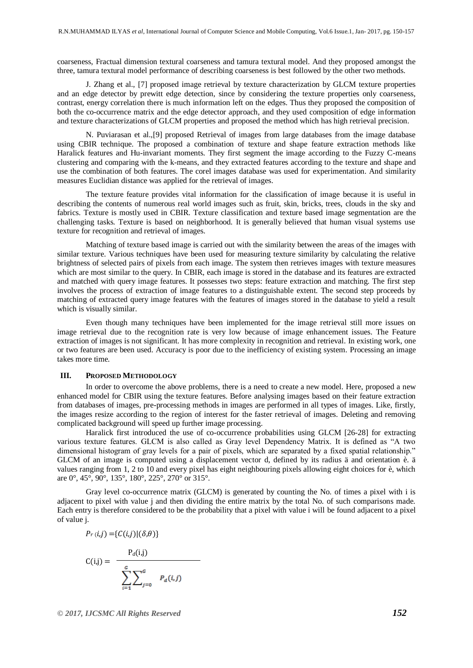coarseness, Fractual dimension textural coarseness and tamura textural model. And they proposed amongst the three, tamura textural model performance of describing coarseness is best followed by the other two methods.

J. Zhang et al., [7] proposed image retrieval by texture characterization by GLCM texture properties and an edge detector by prewitt edge detection, since by considering the texture properties only coarseness, contrast, energy correlation there is much information left on the edges. Thus they proposed the composition of both the co-occurrence matrix and the edge detector approach, and they used composition of edge information and texture characterizations of GLCM properties and proposed the method which has high retrieval precision.

N. Puviarasan et al.,[9] proposed Retrieval of images from large databases from the image database using CBIR technique. The proposed a combination of texture and shape feature extraction methods like Haralick features and Hu-invariant moments. They first segment the image according to the Fuzzy C-means clustering and comparing with the k-means, and they extracted features according to the texture and shape and use the combination of both features. The corel images database was used for experimentation. And similarity measures Euclidian distance was applied for the retrieval of images.

The texture feature provides vital information for the classification of image because it is useful in describing the contents of numerous real world images such as fruit, skin, bricks, trees, clouds in the sky and fabrics. Texture is mostly used in CBIR. Texture classification and texture based image segmentation are the challenging tasks. Texture is based on neighborhood. It is generally believed that human visual systems use texture for recognition and retrieval of images.

Matching of texture based image is carried out with the similarity between the areas of the images with similar texture. Various techniques have been used for measuring texture similarity by calculating the relative brightness of selected pairs of pixels from each image. The system then retrieves images with texture measures which are most similar to the query. In CBIR, each image is stored in the database and its features are extracted and matched with query image features. It possesses two steps: feature extraction and matching. The first step involves the process of extraction of image features to a distinguishable extent. The second step proceeds by matching of extracted query image features with the features of images stored in the database to yield a result which is visually similar.

Even though many techniques have been implemented for the image retrieval still more issues on image retrieval due to the recognition rate is very low because of image enhancement issues. The Feature extraction of images is not significant. It has more complexity in recognition and retrieval. In existing work, one or two features are been used. Accuracy is poor due to the inefficiency of existing system. Processing an image takes more time.

#### **III. PROPOSED METHODOLOGY**

In order to overcome the above problems, there is a need to create a new model. Here, proposed a new enhanced model for CBIR using the texture features. Before analysing images based on their feature extraction from databases of images, pre-processing methods in images are performed in all types of images. Like, firstly, the images resize according to the region of interest for the faster retrieval of images. Deleting and removing complicated background will speed up further image processing.

Haralick first introduced the use of co-occurrence probabilities using GLCM [26-28] for extracting various texture features. GLCM is also called as Gray level Dependency Matrix. It is defined as "A two dimensional histogram of gray levels for a pair of pixels, which are separated by a fixed spatial relationship." GLCM of an image is computed using a displacement vector d, defined by its radius ä and orientation è. ä values ranging from 1, 2 to 10 and every pixel has eight neighbouring pixels allowing eight choices for è, which are 0°, 45°, 90°, 135°, 180°, 225°, 270° or 315°.

Gray level co-occurrence matrix (GLCM) is generated by counting the No. of times a pixel with i is adjacent to pixel with value j and then dividing the entire matrix by the total No. of such comparisons made. Each entry is therefore considered to be the probability that a pixel with value i will be found adjacent to a pixel of value j.

$$
P_r(i,j) = \{C(i,j) | (\delta, \theta)\}
$$

$$
C(i,j) = \frac{P_d(i,j)}{\sum_{i=1}^{G} \sum_{j=0}^{G} P_d(i,j)}
$$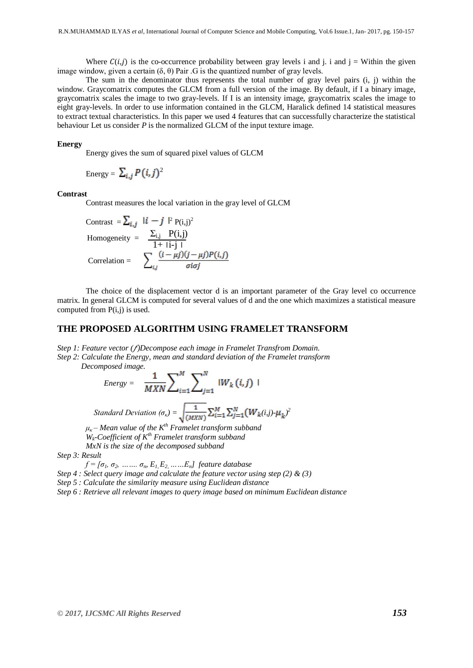Where  $C(i,j)$  is the co-occurrence probability between gray levels i and j. i and j = Within the given image window, given a certain (δ, θ) Pair .G is the quantized number of gray levels.

The sum in the denominator thus represents the total number of gray level pairs (i, j) within the window. Graycomatrix computes the GLCM from a full version of the image. By default, if I a binary image, graycomatrix scales the image to two gray-levels. If I is an intensity image, graycomatrix scales the image to eight gray-levels. In order to use information contained in the GLCM, Haralick defined 14 statistical measures to extract textual characteristics. In this paper we used 4 features that can successfully characterize the statistical behaviour Let us consider *P* is the normalized GLCM of the input texture image.

#### **Energy**

Energy gives the sum of squared pixel values of GLCM

Energy = 
$$
\sum_{i,j} P(i,j)^2
$$

#### **Contrast**

Contrast measures the local variation in the gray level of GLCM

Contrast = 
$$
\sum_{i,j} |i - j|^2 P(i,j)^2
$$

\nHomogeneity =  $\frac{\sum_{i,j} P(i,j)}{1 + |i - j|}$ 

\nCorrelation =  $\sum_{i,j} \frac{(i - \mu j)(j - \mu j)P(i,j)}{\sigma i \sigma j}$ 

The choice of the displacement vector d is an important parameter of the Gray level co occurrence matrix. In general GLCM is computed for several values of d and the one which maximizes a statistical measure computed from P(i,j) is used.

# **THE PROPOSED ALGORITHM USING FRAMELET TRANSFORM**

*Step 1: Feature vector ()Decompose each image in Framelet Transfrom Domain. Step 2: Calculate the Energy, mean and standard deviation of the Framelet transform Decomposed image.*

$$
Energy = \frac{1}{M X N} \sum_{i=1}^{M} \sum_{j=1}^{N} \left| W_k(i,j) \right|
$$

Standard Deviation 
$$
(\sigma_{\kappa}) = \sqrt{\frac{1}{(MXN)}} \sum_{i=1}^{M} \sum_{j=1}^{N} (W_k(i,j) \cdot \mu_k)^2
$$

 $\mu_{\kappa}$  – Mean value of the K<sup>th</sup> Framelet transform subband *Wk-Coefficient of Kth Framelet transform subband MxN is the size of the decomposed subband*

*Step 3: Result*

 $f = [\sigma_1, \sigma_2, \ldots, \sigma_n, E_1, E_2, \ldots, E_n]$  feature database

*Step 4 : Select query image and calculate the feature vector using step (2) & (3)*

*Step 5 : Calculate the similarity measure using Euclidean distance*

*Step 6 : Retrieve all relevant images to query image based on minimum Euclidean distance*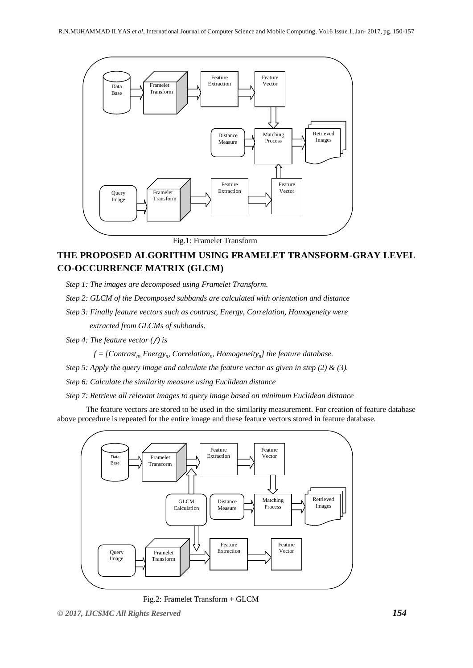

Fig.1: Framelet Transform

# **THE PROPOSED ALGORITHM USING FRAMELET TRANSFORM-GRAY LEVEL CO-OCCURRENCE MATRIX (GLCM)**

- *Step 1: The images are decomposed using Framelet Transform.*
- *Step 2: GLCM of the Decomposed subbands are calculated with orientation and distance*
- *Step 3: Finally feature vectors such as contrast, Energy, Correlation, Homogeneity were extracted from GLCMs of subbands.*
- *Step 4: The feature vector () is* 
	- $f = [Contrast_n, Energy_n, Correlation_n, Homogeneity_n]$  the feature database.
- *Step 5: Apply the query image and calculate the feature vector as given in step (2) & (3).*
- *Step 6: Calculate the similarity measure using Euclidean distance*
- *Step 7: Retrieve all relevant images to query image based on minimum Euclidean distance*

The feature vectors are stored to be used in the similarity measurement. For creation of feature database above procedure is repeated for the entire image and these feature vectors stored in feature database.



Fig.2: Framelet Transform + GLCM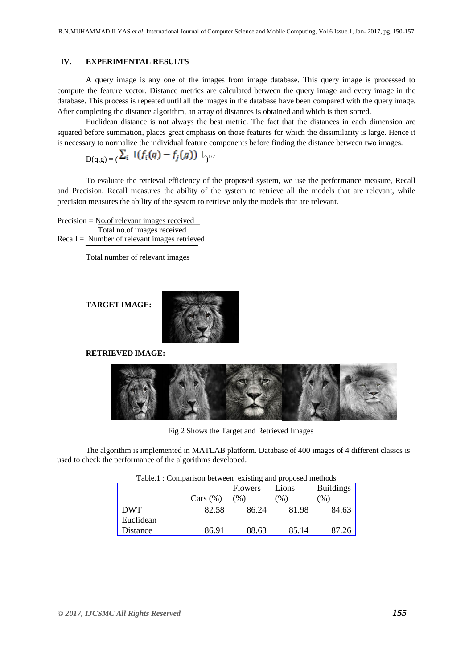# **IV. EXPERIMENTAL RESULTS**

A query image is any one of the images from image database. This query image is processed to compute the feature vector. Distance metrics are calculated between the query image and every image in the database. This process is repeated until all the images in the database have been compared with the query image. After completing the distance algorithm, an array of distances is obtained and which is then sorted.

Euclidean distance is not always the best metric. The fact that the distances in each dimension are squared before summation, places great emphasis on those features for which the dissimilarity is large. Hence it is necessary to normalize the individual feature components before finding the distance between two images.

$$
D(q,g) = \left( \sum_i \; | \; (f_i(q) - f_j(g)) \; |_{2} \right)^{1/2}
$$

To evaluate the retrieval efficiency of the proposed system, we use the performance measure, Recall and Precision. Recall measures the ability of the system to retrieve all the models that are relevant, while precision measures the ability of the system to retrieve only the models that are relevant.

Precision = No.of relevant images received Total no.of images received Recall = Number of relevant images retrieved

Total number of relevant images

### **TARGET IMAGE:**

Ī



**RETRIEVED IMAGE:**



Fig 2 Shows the Target and Retrieved Images

The algorithm is implemented in MATLAB platform. Database of 400 images of 4 different classes is used to check the performance of the algorithms developed.

| Table.1: Comparison between existing and proposed methods |          |                |       |                  |
|-----------------------------------------------------------|----------|----------------|-------|------------------|
|                                                           |          | <b>Flowers</b> | Lions | <b>Buildings</b> |
|                                                           | Cars (%) | (% )           | (% )  | (% )             |
| <b>DWT</b>                                                | 82.58    | 86.24          | 81.98 | 84.63            |
| Euclidean                                                 |          |                |       |                  |
| Distance                                                  | 86.91    | 88.63          | 85.14 | 87.26            |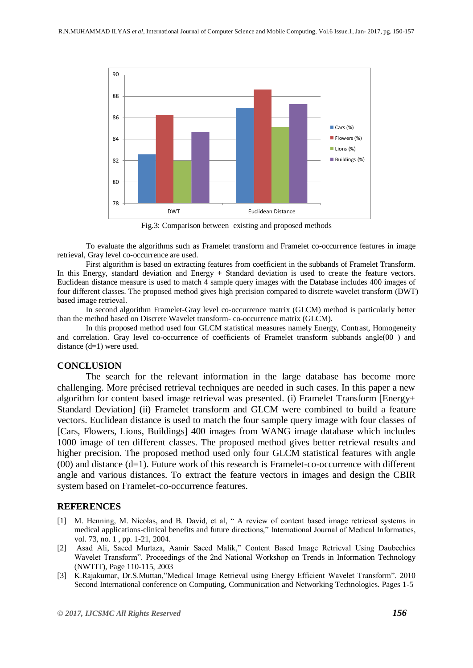

Fig.3: Comparison between existing and proposed methods

To evaluate the algorithms such as Framelet transform and Framelet co-occurrence features in image retrieval, Gray level co-occurrence are used.

First algorithm is based on extracting features from coefficient in the subbands of Framelet Transform. In this Energy, standard deviation and Energy + Standard deviation is used to create the feature vectors. Euclidean distance measure is used to match 4 sample query images with the Database includes 400 images of four different classes. The proposed method gives high precision compared to discrete wavelet transform (DWT) based image retrieval.

In second algorithm Framelet-Gray level co-occurrence matrix (GLCM) method is particularly better than the method based on Discrete Wavelet transform- co-occurrence matrix (GLCM).

In this proposed method used four GLCM statistical measures namely Energy, Contrast, Homogeneity and correlation. Gray level co-occurrence of coefficients of Framelet transform subbands angle(00 ) and distance (d=1) were used.

### **CONCLUSION**

The search for the relevant information in the large database has become more challenging. More précised retrieval techniques are needed in such cases. In this paper a new algorithm for content based image retrieval was presented. (i) Framelet Transform [Energy+ Standard Deviation] (ii) Framelet transform and GLCM were combined to build a feature vectors. Euclidean distance is used to match the four sample query image with four classes of [Cars, Flowers, Lions, Buildings] 400 images from WANG image database which includes 1000 image of ten different classes. The proposed method gives better retrieval results and higher precision. The proposed method used only four GLCM statistical features with angle  $(00)$  and distance  $(d=1)$ . Future work of this research is Framelet-co-occurrence with different angle and various distances. To extract the feature vectors in images and design the CBIR system based on Framelet-co-occurrence features.

# **REFERENCES**

- [1] M. Henning, M. Nicolas, and B. David, et al, "A review of content based image retrieval systems in medical applications-clinical benefits and future directions," International Journal of Medical Informatics, vol. 73, no. 1 , pp. 1-21, 2004.
- [2] Asad Ali, Saeed Murtaza, Aamir Saeed Malik," Content Based Image Retrieval Using Daubechies Wavelet Transform". Proceedings of the 2nd National Workshop on Trends in Information Technology (NWTIT), Page 110-115, 2003
- [3] K.Rajakumar, Dr.S.Muttan,"Medical Image Retrieval using Energy Efficient Wavelet Transform". 2010 Second International conference on Computing, Communication and Networking Technologies. Pages 1-5